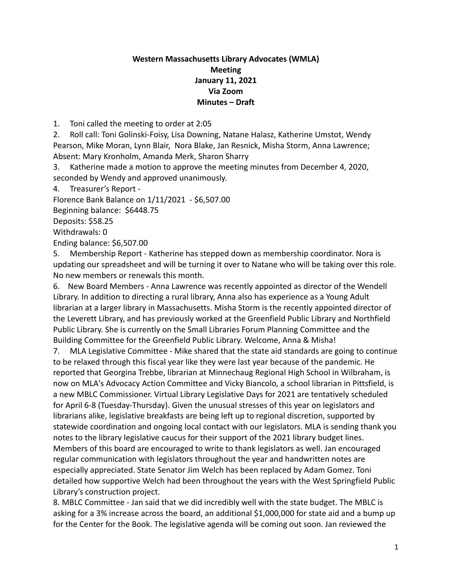## **Western Massachusetts Library Advocates (WMLA) Meeting January 11, 2021 Via Zoom Minutes – Draft**

1. Toni called the meeting to order at 2:05

2. Roll call: Toni Golinski-Foisy, Lisa Downing, Natane Halasz, Katherine Umstot, Wendy Pearson, Mike Moran, Lynn Blair, Nora Blake, Jan Resnick, Misha Storm, Anna Lawrence; Absent: Mary Kronholm, Amanda Merk, Sharon Sharry

3. Katherine made a motion to approve the meeting minutes from December 4, 2020, seconded by Wendy and approved unanimously.

4. Treasurer's Report -

Florence Bank Balance on 1/11/2021 - \$6,507.00

Beginning balance: \$6448.75

Deposits: \$58.25

Withdrawals: 0

Ending balance: \$6,507.00

5. Membership Report - Katherine has stepped down as membership coordinator. Nora is updating our spreadsheet and will be turning it over to Natane who will be taking over this role. No new members or renewals this month.

6. New Board Members - Anna Lawrence was recently appointed as director of the Wendell Library. In addition to directing a rural library, Anna also has experience as a Young Adult librarian at a larger library in Massachusetts. Misha Storm is the recently appointed director of the Leverett Library, and has previously worked at the Greenfield Public Library and Northfield Public Library. She is currently on the Small Libraries Forum Planning Committee and the Building Committee for the Greenfield Public Library. Welcome, Anna & Misha!

7. MLA Legislative Committee - Mike shared that the state aid standards are going to continue to be relaxed through this fiscal year like they were last year because of the pandemic. He reported that Georgina Trebbe, librarian at Minnechaug Regional High School in Wilbraham, is now on MLA's Advocacy Action Committee and Vicky Biancolo, a school librarian in Pittsfield, is a new MBLC Commissioner. Virtual Library Legislative Days for 2021 are tentatively scheduled for April 6-8 (Tuesday-Thursday). Given the unusual stresses of this year on legislators and librarians alike, legislative breakfasts are being left up to regional discretion, supported by statewide coordination and ongoing local contact with our legislators. MLA is sending thank you notes to the library legislative caucus for their support of the 2021 library budget lines. Members of this board are encouraged to write to thank legislators as well. Jan encouraged regular communication with legislators throughout the year and handwritten notes are especially appreciated. State Senator Jim Welch has been replaced by Adam Gomez. Toni detailed how supportive Welch had been throughout the years with the West Springfield Public Library's construction project.

8. MBLC Committee - Jan said that we did incredibly well with the state budget. The MBLC is asking for a 3% increase across the board, an additional \$1,000,000 for state aid and a bump up for the Center for the Book. The legislative agenda will be coming out soon. Jan reviewed the